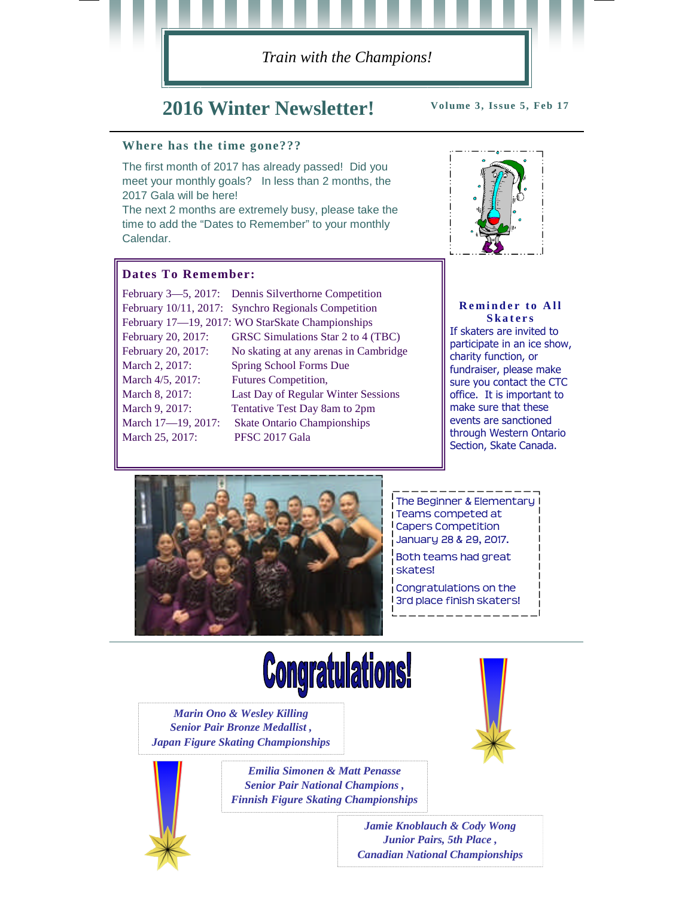

## **2016 Winter Newsletter!**

**Volume 3, Issue 5, Feb 17**

#### **Where has the time gone???**

The first month of 2017 has already passed! Did you meet your monthly goals? In less than 2 months, the 2017 Gala will be here!

The next 2 months are extremely busy, please take the time to add the "Dates to Remember" to your monthly Calendar.

#### **Dates To Remember:**

|                    | February 3-5, 2017: Dennis Silverthorne Competition |
|--------------------|-----------------------------------------------------|
|                    | February 10/11, 2017: Synchro Regionals Competition |
|                    | February 17-19, 2017: WO StarSkate Championships    |
| February 20, 2017: | GRSC Simulations Star 2 to 4 (TBC)                  |
| February 20, 2017: | No skating at any arenas in Cambridge               |
| March 2, 2017:     | Spring School Forms Due                             |
| March 4/5, 2017:   | Futures Competition,                                |
| March 8, 2017:     | Last Day of Regular Winter Sessions                 |
| March 9, 2017:     | Tentative Test Day 8am to 2pm                       |
| March 17-19, 2017: | <b>Skate Ontario Championships</b>                  |
| March 25, 2017:    | PFSC 2017 Gala                                      |
|                    |                                                     |



#### **Reminder to All S k a t e r s**

If skaters are invited to participate in an ice show, charity function, or fundraiser, please make sure you contact the CTC office. It is important to make sure that these events are sanctioned through Western Ontario Section, Skate Canada.



The Beginner & Elementary Teams competed at Capers Competition January 28 & 29, 2017.

Both teams had great skates!

Congratulations on the 3rd place finish skaters!

# **Congratulations!**

*Marin Ono & Wesley Killing Senior Pair Bronze Medallist , Japan Figure Skating Championships*



*Emilia Simonen & Matt Penasse Senior Pair National Champions , Finnish Figure Skating Championships*

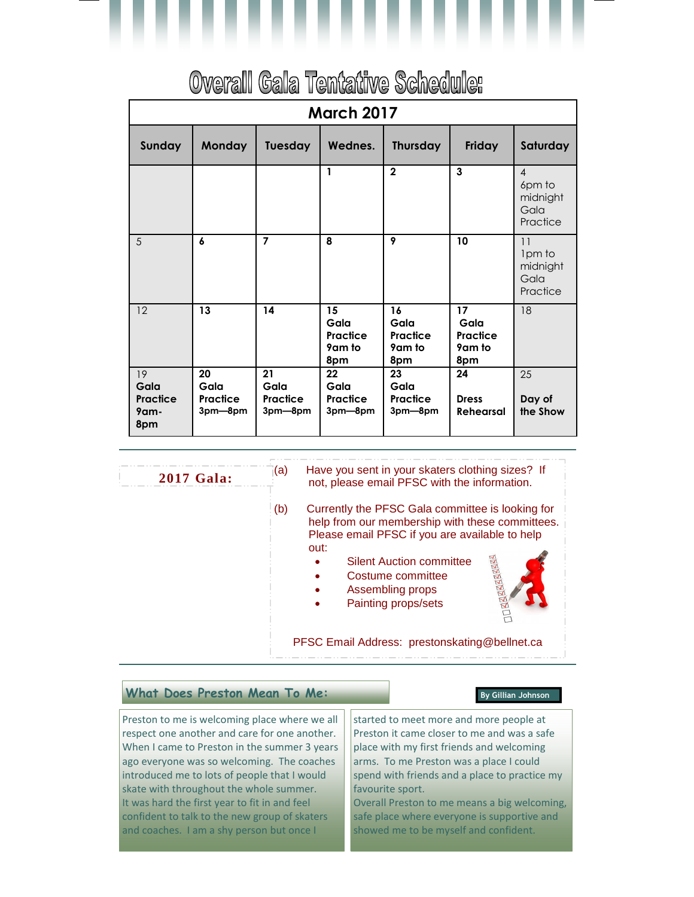

# Overall Gala Tentative Schedule:

| <b>March 2017</b>                     |                                   |                                   |                                         |                                         |                                         |                                                          |  |
|---------------------------------------|-----------------------------------|-----------------------------------|-----------------------------------------|-----------------------------------------|-----------------------------------------|----------------------------------------------------------|--|
| Sunday                                | <b>Monday</b>                     | Tuesday                           | Wednes.                                 | <b>Thursday</b>                         | Friday                                  | Saturday                                                 |  |
|                                       |                                   |                                   | $\mathbf{1}$                            | $\mathbf{2}$                            | 3                                       | $\overline{4}$<br>6pm to<br>midnight<br>Gala<br>Practice |  |
| 5                                     | 6                                 | $\overline{7}$                    | 8                                       | 9                                       | 10                                      | 11<br>1pm to<br>midnight<br>Gala<br>Practice             |  |
| 12                                    | 13                                | 14                                | 15<br>Gala<br>Practice<br>9am to<br>8pm | 16<br>Gala<br>Practice<br>9am to<br>8pm | 17<br>Gala<br>Practice<br>9am to<br>8pm | 18                                                       |  |
| 19<br>Gala<br>Practice<br>9am-<br>8pm | 20<br>Gala<br>Practice<br>3pm-8pm | 21<br>Gala<br>Practice<br>3pm-8pm | 22<br>Gala<br>Practice<br>3pm-8pm       | 23<br>Gala<br>Practice<br>3pm-8pm       | 24<br><b>Dress</b><br><b>Rehearsal</b>  | 25<br>Day of<br>the Show                                 |  |

(a) Have you sent in your skaters clothing sizes? If not, please email PFSC with the information.

(b) Currently the PFSC Gala committee is looking for help from our membership with these committees. Please email PFSC if you are available to help out:

- Silent Auction committee
- Costume committee
- Assembling props
- Painting props/sets



PFSC Email Address: prestonskating@bellnet.ca

#### **What Does Preston Mean To Me: By Gillian Johnson**

**2017 Gala:**

Preston to me is welcoming place where we all respect one another and care for one another. When I came to Preston in the summer 3 years ago everyone was so welcoming. The coaches introduced me to lots of people that I would skate with throughout the whole summer. It was hard the first year to fit in and feel confident to talk to the new group of skaters and coaches. I am a shy person but once I

started to meet more and more people at Preston it came closer to me and was a safe place with my first friends and welcoming arms. To me Preston was a place I could spend with friends and a place to practice my favourite sport.

Overall Preston to me means a big welcoming, safe place where everyone is supportive and showed me to be myself and confident.